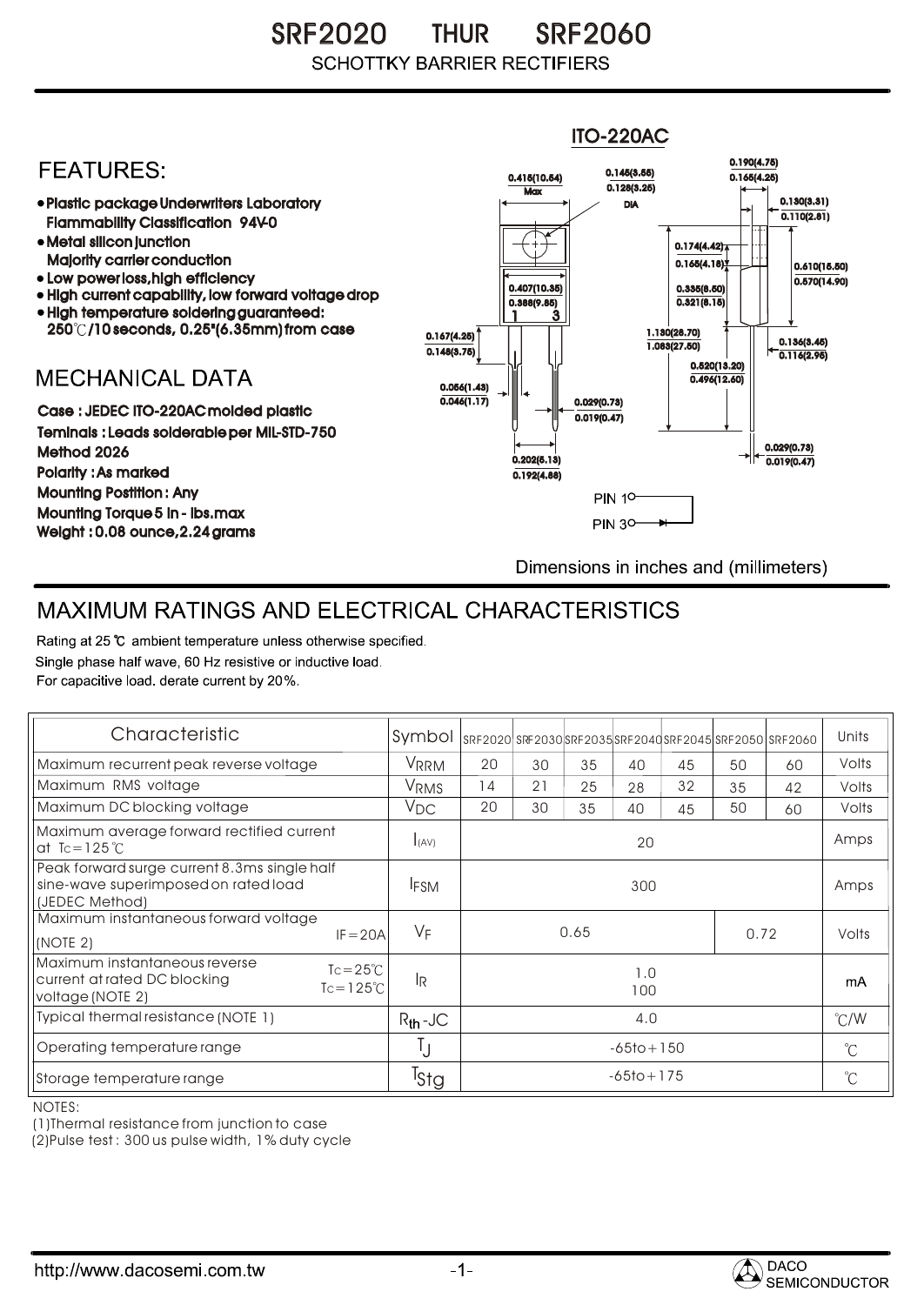SRF2020 THUR SRF2060 **SCHOTTKY BARRIER RECTIFIERS** 



## MAXIMUM RATINGS AND ELECTRICAL CHARACTERISTICS

Rating at 25 °C ambient temperature unless otherwise specified. Single phase half wave, 60 Hz resistive or inductive load. For capacitive load, derate current by 20%.

| Characteristic                                                                                                                 | Symbol           |                |    |    |    |    |    | SRF2020 SRF2030 SRF2035 SRF2040 SRF2045 SRF2050 SRF2060 | Units         |
|--------------------------------------------------------------------------------------------------------------------------------|------------------|----------------|----|----|----|----|----|---------------------------------------------------------|---------------|
| Maximum recurrent peak reverse voltage                                                                                         | VRRM             | 20             | 30 | 35 | 40 | 45 | 50 | 60                                                      | Volts         |
| Maximum RMS voltage                                                                                                            | V <sub>RMS</sub> | 14             | 21 | 25 | 28 | 32 | 35 | 42                                                      | Volts         |
| Maximum DC blocking voltage                                                                                                    | $V_{\text{DC}}$  | 20             | 30 | 35 | 40 | 45 | 50 | 60                                                      | Volts         |
| Maximum average forward rectified current<br>at Tc=125 $°C$                                                                    | I(AV)            | 20             |    |    |    |    |    |                                                         | Amps          |
| Peak forward surge current 8.3ms single half<br>sine-wave superimposed on rated load<br>(JEDEC Method)                         | <b>IFSM</b>      | 300            |    |    |    |    |    |                                                         | Amps          |
| Maximum instantaneous forward voltage<br>$IF = 20A$<br>(NOTE 2)                                                                | $V_F$            | 0.65<br>0.72   |    |    |    |    |    | Volts                                                   |               |
| Maximum instantaneous reverse<br>$Tc = 25^{\circ}C$<br>current at rated DC blocking<br>$Tc = 125^{\circ}C$<br>voltage (NOTE 2) | <b>IR</b>        | 1.0<br>100     |    |    |    |    |    |                                                         | mA            |
| Typical thermal resistance (NOTE 1)                                                                                            | $R_{th}$ -JC     | 4.0            |    |    |    |    |    |                                                         | $\degree$ C/W |
| Operating temperature range                                                                                                    | IJ               | $-65$ to + 150 |    |    |    |    |    |                                                         | $^{\circ}$ C  |
| Storage temperature range                                                                                                      | Tstg             | $-65$ to + 175 |    |    |    |    |    |                                                         | $^{\circ}$ C  |

NOTES:

(1)Thermal resistance from junction to case

(2)Pulse test : 300 us pulse width, 1% duty cycle